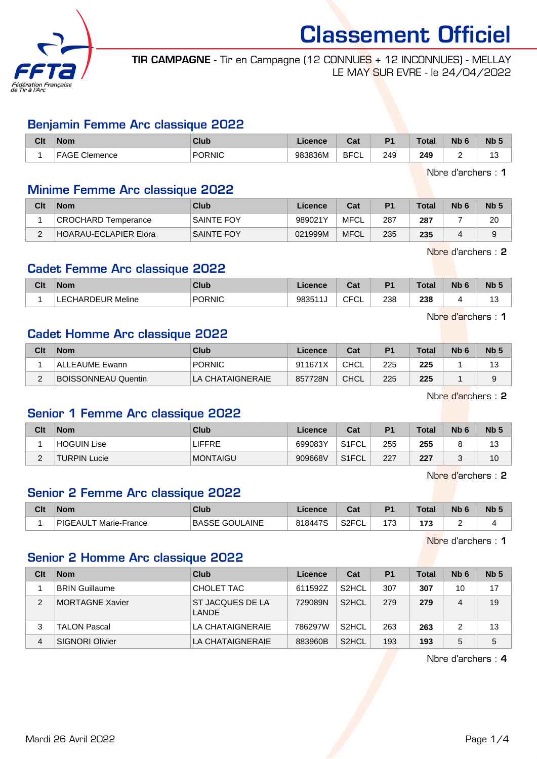

TIR CAMPAGNE - Tir en Campagne (12 CONNUES + 12 INCONNUES) - MELLAY LE MAY SUR EVRE - le 24/04/2022

#### Benjamin Femme Arc classique 2022

| Clt | <b>Nom</b>                  | <b>Club</b>     | Licence | <b>Tat</b><br>uai | D <sub>1</sub> | <b>Total</b>  | <b>Nb</b> | N <sub>b</sub> |
|-----|-----------------------------|-----------------|---------|-------------------|----------------|---------------|-----------|----------------|
|     | $\Gamma$<br>Clemence<br>AGE | PORNIC<br>_____ | 983836M | <b>BFC</b><br>◡∟  | 249<br>$\sim$  | 249<br>$\sim$ | -         | -<br>ں ا       |

Nbre d'archers : 1

#### Minime Femme Arc classique 2022

| Clt | <b>Nom</b>                   | Club              | Licence | Cat         | P <sub>1</sub> | Total | N <sub>b</sub> 6 | Nb <sub>5</sub> |
|-----|------------------------------|-------------------|---------|-------------|----------------|-------|------------------|-----------------|
|     | CROCHARD Temperance          | <b>SAINTE FOY</b> | 989021Y | MFCL        | 287            | 287   |                  | 20              |
|     | <b>HOARAU-ECLAPIER Elora</b> | <b>SAINTE FOY</b> | 021999M | <b>MFCL</b> | 235            | 235   |                  | a               |

Nbre d'archers : 2

# Cadet Femme Arc classique 2022

| 238<br><b>CFCI</b><br><b>PORNIC</b><br>238<br>98351<br>Meline<br>ነHARDEUR<br>ັບ∟<br>.<br>ں ا | Clt | <b>Nom</b> | <b>Club</b> | Licence | $R_{\rm{int}}$<br>val | D <sub>4</sub> | <b>Total</b> | Nb | <b>Nb</b> |
|----------------------------------------------------------------------------------------------|-----|------------|-------------|---------|-----------------------|----------------|--------------|----|-----------|
|                                                                                              |     |            |             |         |                       |                |              |    |           |

Nbre d'archers : 1

# Cadet Homme Arc classique 2022

| Clt | <b>Nom</b>                 | Club             | Licence | Cat         | P <sub>1</sub> | <b>Total</b> | N <sub>b</sub> 6 | N <sub>b</sub> |
|-----|----------------------------|------------------|---------|-------------|----------------|--------------|------------------|----------------|
|     | ALLEAUME Ewann             | <b>PORNIC</b>    | 911671X | CHCL        | 225            | 225          |                  | 13             |
|     | <b>BOISSONNEAU Quentin</b> | LA CHATAIGNERAIE | 857728N | <b>CHCL</b> | 225            | 225          |                  |                |

Nbre d'archers : 2

# Senior 1 Femme Arc classique 2022

| Clt | <b>Nom</b>          | Club            | Licence | Cat                | P <sub>1</sub> | <b>Total</b> | N <sub>b</sub> 6 | Nb <sub>5</sub>       |
|-----|---------------------|-----------------|---------|--------------------|----------------|--------------|------------------|-----------------------|
|     | HOGUIN Lise         | LIFFRE          | 699083Y | S1FCL              | 255            | 255          |                  | $\overline{ }$<br>ن ا |
| -   | <b>TURPIN Lucie</b> | <b>MONTAIGU</b> | 909668V | S <sub>1</sub> FCL | 227            | 227          |                  | 10                    |

Nbre d'archers : 2

# Senior 2 Femme Arc classique 2022

| Clt | <b>Nom</b>                        | Club                       | Licence | ו ה<br>uai               | P <sub>1</sub>                  | <b>Total</b> | Nb | <b>N<sub>b</sub></b> |
|-----|-----------------------------------|----------------------------|---------|--------------------------|---------------------------------|--------------|----|----------------------|
|     | <b>PIGEAUL</b><br>∟T Marie-France | : GOULAINE<br><b>BASSE</b> | 818447S | S <sub>2</sub> FCI<br>◡∟ | $\overline{\phantom{a}}$<br>ن ، | 179<br>,,,   |    |                      |

Nbre d'archers : 1

# Senior 2 Homme Arc classique 2022

| Clt | <b>Nom</b>             | Club                      | Licence | Cat                | P <sub>1</sub> | Total | Nb <sub>6</sub> | Nb <sub>5</sub> |
|-----|------------------------|---------------------------|---------|--------------------|----------------|-------|-----------------|-----------------|
|     | <b>BRIN Guillaume</b>  | CHOLET TAC                | 611592Z | S <sub>2</sub> HCL | 307            | 307   | 10              | 17              |
| 2   | MORTAGNE Xavier        | ST JACQUES DE LA<br>LANDE | 729089N | S <sub>2</sub> HCL | 279            | 279   | 4               | 19              |
| 3   | TALON Pascal           | LA CHATAIGNERAIE          | 786297W | S <sub>2</sub> HCL | 263            | 263   |                 | 13              |
| 4   | <b>SIGNORI Olivier</b> | LA CHATAIGNERAIE          | 883960B | S <sub>2</sub> HCL | 193            | 193   | 5               | 5               |

Nbre d'archers : 4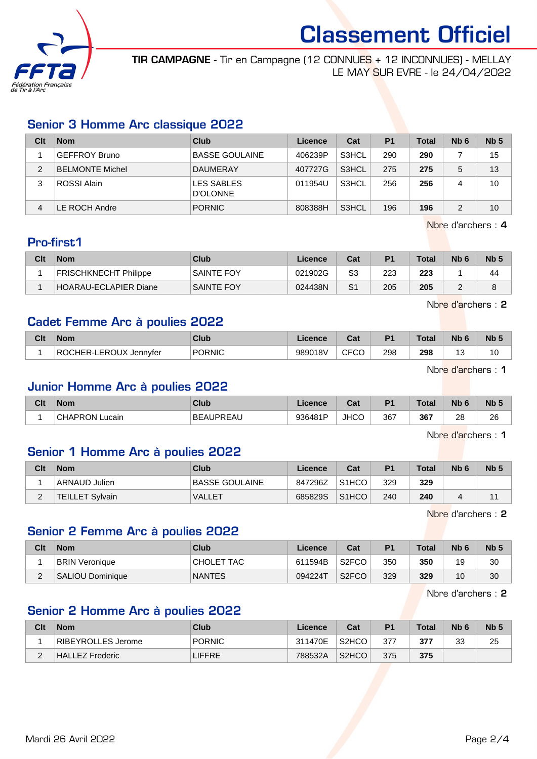

TIR CAMPAGNE - Tir en Campagne (12 CONNUES + 12 INCONNUES) - MELLAY LE MAY SUR EVRE - le 24/04/2022

# Senior 3 Homme Arc classique 2022

| Clt | <b>Nom</b>             | Club                          | Licence | Cat   | P <sub>1</sub> | <b>Total</b> | N <sub>b</sub> 6 | Nb <sub>5</sub> |
|-----|------------------------|-------------------------------|---------|-------|----------------|--------------|------------------|-----------------|
|     | <b>GEFFROY Bruno</b>   | <b>BASSE GOULAINE</b>         | 406239P | S3HCL | 290            | 290          |                  | 15              |
| 2   | <b>BELMONTE Michel</b> | <b>DAUMERAY</b>               | 407727G | S3HCL | 275            | 275          | 5                | 13              |
| 3   | ROSSI Alain            | <b>LES SABLES</b><br>D'OLONNE | 011954U | S3HCL | 256            | 256          |                  | 10              |
| 4   | LE ROCH Andre          | <b>PORNIC</b>                 | 808388H | S3HCL | 196            | 196          | 2                | 10              |

Nbre d'archers : 4

# Pro-first1

| Clt | <b>Nom</b>                   | Club              | Licence | Cat | P <sub>1</sub> | <b>Total</b> | N <sub>b</sub> <sub>6</sub> | N <sub>b</sub> |
|-----|------------------------------|-------------------|---------|-----|----------------|--------------|-----------------------------|----------------|
|     | <b>FRISCHKNECHT Philippe</b> | <b>SAINTE FOY</b> | 021902G | S3  | 223            | 223          |                             | 44             |
|     | HOARAU-ECLAPIER Diane        | SAINTE FOY        | 024438N | S1  | 205            | 205          |                             |                |

Nbre d'archers : 2

# Cadet Femme Arc à poulies 2022

| Clt | <b>Nom</b>                         | Club          | icence  | ่ ี่ ี่ ่า ่<br>uai | D <sub>1</sub> | <b>Total</b> | Nb                            | Nb ! |
|-----|------------------------------------|---------------|---------|---------------------|----------------|--------------|-------------------------------|------|
|     | -LEROUX Jennvfer<br>ROC<br>∩HER-L∟ | <b>PORNIC</b> | 989018V | $\sim$<br>√−ات<br>ע | 298            | 298          | $\overline{\phantom{a}}$<br>ັ | 10   |

Nbre d'archers : 1

#### Junior Homme Arc à poulies 2022

| Clt | <b>Nom</b>                 | <b>Club</b>      | Licence | $R_{\rm eff}$<br>ual | D <sub>1</sub> | Total | <b>Nb</b> | N <sub>b</sub> 5 |
|-----|----------------------------|------------------|---------|----------------------|----------------|-------|-----------|------------------|
|     | <b>CHAPRON L</b><br>Lucain | <b>BEAUPREAU</b> | 936481P | <b>JHCO</b>          | 367            | 367   | 28        | 26               |

Nbre d'archers : 1

# Senior 1 Homme Arc à poulies 2022

| Clt      | <b>Nom</b>             | Club           | Licence | Cat                | P <sub>1</sub> | <b>Total</b> | N <sub>b</sub> 6 | Nb <sub>5</sub> |
|----------|------------------------|----------------|---------|--------------------|----------------|--------------|------------------|-----------------|
|          | ARNAUD Julien          | BASSE GOULAINE | 847296Z | S <sub>1</sub> HCO | 329            | 329          |                  |                 |
| <u>_</u> | <b>TEILLET Sylvain</b> | <b>VALLET</b>  | 685829S | S <sub>1</sub> HCO | 240            | 240          |                  |                 |

Nbre d'archers : 2

# Senior 2 Femme Arc à poulies 2022

| Clt | <b>Nom</b>            | Club          | Licence | Cat                | P <sub>1</sub> | Total | N <sub>b</sub> 6 | N <sub>b</sub> 5 |
|-----|-----------------------|---------------|---------|--------------------|----------------|-------|------------------|------------------|
|     | <b>BRIN Veronique</b> | CHOLET TAC    | 611594B | S <sub>2</sub> FCO | 350            | 350   | 19               | 30               |
|     | SALIOU Dominique      | <b>NANTES</b> | 094224T | S <sub>2</sub> FCO | 329            | 329   | 10               | 30               |

Nbre d'archers : 2

# Senior 2 Homme Arc à poulies 2022

| Clt | <b>Nom</b>         | Club          | Licence | Cat                            | P <sub>1</sub> | Total | N <sub>b</sub> 6 | N <sub>b</sub> 5 |
|-----|--------------------|---------------|---------|--------------------------------|----------------|-------|------------------|------------------|
|     | RIBEYROLLES Jerome | <b>PORNIC</b> | 311470E | S <sub>2</sub> H <sub>CO</sub> | 377            | 377   | າາ<br>ບປ         | 25               |
| ▃   | HALLEZ Frederic    | <b>LIFFRE</b> | 788532A | S <sub>2</sub> HCO             | 375            | 375   |                  |                  |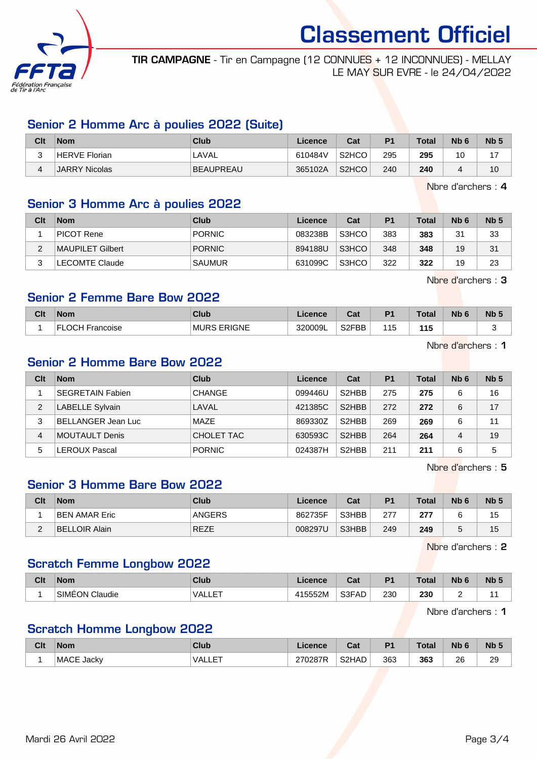

TIR CAMPAGNE - Tir en Campagne (12 CONNUES + 12 INCONNUES) - MELLAY LE MAY SUR EVRE - le 24/04/2022

# Senior 2 Homme Arc à poulies 2022 (Suite)

| Clt        | <b>Nom</b>    | Club             | Licence | Cat                | P1  | Total | Nb <sub>6</sub> | Nb <sub>5</sub> |
|------------|---------------|------------------|---------|--------------------|-----|-------|-----------------|-----------------|
| $\sqrt{2}$ | HERVE Florian | LAVAL            | 610484V | S <sub>2</sub> HCO | 295 | 295   | 10              |                 |
|            | JARRY Nicolas | <b>BEAUPREAU</b> | 365102A | S <sub>2</sub> HCO | 240 | 240   | 4               | 10              |

Nbre d'archers : 4

# Senior 3 Homme Arc à poulies 2022

| Clt | <b>Nom</b>       | Club          | Licence | Cat   | P <sub>1</sub> | <b>Total</b> | Nb <sub>6</sub> | Nb <sub>5</sub> |
|-----|------------------|---------------|---------|-------|----------------|--------------|-----------------|-----------------|
|     | PICOT Rene       | <b>PORNIC</b> | 083238B | S3HCO | 383            | 383          | 31              | 33              |
|     | MAUPILET Gilbert | <b>PORNIC</b> | 894188U | S3HCO | 348            | 348          | 19              | 31              |
| ົ   | LECOMTE Claude   | <b>SAUMUR</b> | 631099C | S3HCO | 322            | 322          | 19              | 23              |

Nbre d'archers : 3

# Senior 2 Femme Bare Bow 2022

| Clt | <b>Nom</b>                        | Club                   | Licence | Cat                | D <sub>4</sub> | Total <sub>o</sub> | <b>Nb</b> | N <sub>b</sub> <sub>5</sub> |
|-----|-----------------------------------|------------------------|---------|--------------------|----------------|--------------------|-----------|-----------------------------|
|     | $\overline{1}$ OCH F<br>Francoise | <b>ERIGNE</b><br>⊤MURS | 320009L | S <sub>2</sub> FBB | 115            | 44 E<br>           |           |                             |

Nbre d'archers : 1

# Senior 2 Homme Bare Bow 2022

| Clt | <b>Nom</b>              | Club          | Licence | Cat                | P <sub>1</sub> | <b>Total</b> | N <sub>b</sub> 6 | Nb <sub>5</sub> |
|-----|-------------------------|---------------|---------|--------------------|----------------|--------------|------------------|-----------------|
|     | <b>SEGRETAIN Fabien</b> | <b>CHANGE</b> | 099446U | S <sub>2</sub> HBB | 275            | 275          | 6                | 16              |
| 2   | LABELLE Sylvain         | LAVAL         | 421385C | S <sub>2</sub> HBB | 272            | 272          | 6                | 17              |
| 3   | BELLANGER Jean Luc      | MAZE          | 869330Z | S <sub>2</sub> HBB | 269            | 269          | 6                | 11              |
| 4   | MOUTAULT Denis          | CHOLET TAC    | 630593C | S <sub>2</sub> HBB | 264            | 264          | 4                | 19              |
| 5   | LEROUX Pascal           | <b>PORNIC</b> | 024387H | S <sub>2</sub> HBB | 211            | 211          | 6                | 5               |

Nbre d'archers : 5

# Senior 3 Homme Bare Bow 2022

| Clt | <b>Nom</b>           | <b>Club</b> | Licence | Cat   | P <sub>1</sub> | <b>Total</b> | N <sub>b</sub> 6 | Nb <sub>5</sub> |
|-----|----------------------|-------------|---------|-------|----------------|--------------|------------------|-----------------|
|     | <b>BEN AMAR Eric</b> | ANGERS      | 862735F | S3HBB | 277            | 277          |                  | 15              |
| -   | BELLOIR Alain        | <b>REZE</b> | 008297U | S3HBB | 249            | 249          |                  | 15              |

Nbre d'archers : 2

### Scratch Femme Longbow 2022

| Clt | <b>Nom</b>               | <b>Club</b>  | Licence | ่ ∼ิ่ ระ<br>⊍o | D <sub>1</sub> | <b>Total</b> | Nb | <b>N<sub>b</sub></b> |
|-----|--------------------------|--------------|---------|----------------|----------------|--------------|----|----------------------|
|     | <b>SIMEON</b><br>Claudie | EТ<br>UALLE. | 115552M | S3FAD          | 230<br>__      | 230<br>__    |    |                      |

Nbre d'archers : 1

#### Scratch Homme Longbow 2022

| Clt | <b>Nom</b> | Club                              | icence  | $\sim$<br><b>val</b> | D <sub>1</sub> | <b>Total</b> | Nb <sub>6</sub> | N <sub>b</sub> |
|-----|------------|-----------------------------------|---------|----------------------|----------------|--------------|-----------------|----------------|
|     | MACE Jacky | 그 도포<br>$\mathsf{V}\mathsf{ALLE}$ | 270287R | S2HAD                | 363            | 363          | 26              | 29             |